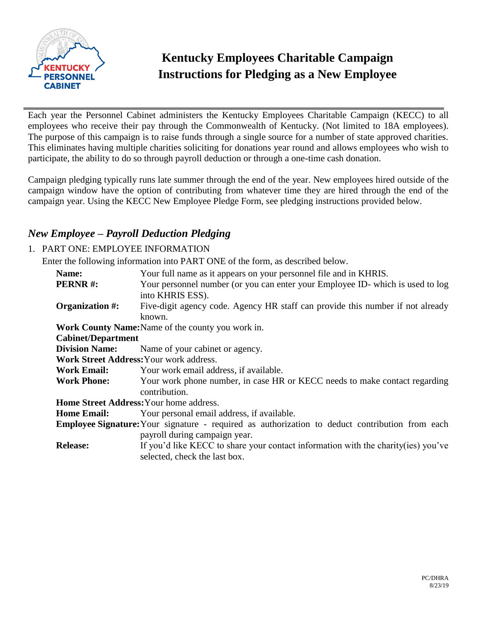

# **Kentucky Employees Charitable Campaign Instructions for Pledging as a New Employee**

Each year the Personnel Cabinet administers the Kentucky Employees Charitable Campaign (KECC) to all employees who receive their pay through the Commonwealth of Kentucky. (Not limited to 18A employees). The purpose of this campaign is to raise funds through a single source for a number of state approved charities. This eliminates having multiple charities soliciting for donations year round and allows employees who wish to participate, the ability to do so through payroll deduction or through a one-time cash donation.

Campaign pledging typically runs late summer through the end of the year. New employees hired outside of the campaign window have the option of contributing from whatever time they are hired through the end of the campaign year. Using the KECC New Employee Pledge Form, see pledging instructions provided below.

# *New Employee – Payroll Deduction Pledging*

# 1. PART ONE: EMPLOYEE INFORMATION

Enter the following information into PART ONE of the form, as described below.

| Name:                                                                                                  | Your full name as it appears on your personnel file and in KHRIS.                                  |  |  |
|--------------------------------------------------------------------------------------------------------|----------------------------------------------------------------------------------------------------|--|--|
| <b>PERNR#:</b>                                                                                         | Your personnel number (or you can enter your Employee ID- which is used to log<br>into KHRIS ESS). |  |  |
| Organization #:                                                                                        | Five-digit agency code. Agency HR staff can provide this number if not already<br>known.           |  |  |
|                                                                                                        | <b>Work County Name: Name of the county you work in.</b>                                           |  |  |
| <b>Cabinet/Department</b>                                                                              |                                                                                                    |  |  |
| <b>Division Name:</b>                                                                                  | Name of your cabinet or agency.                                                                    |  |  |
| Work Street Address: Your work address.                                                                |                                                                                                    |  |  |
| <b>Work Email:</b>                                                                                     | Your work email address, if available.                                                             |  |  |
| <b>Work Phone:</b>                                                                                     | Your work phone number, in case HR or KECC needs to make contact regarding<br>contribution.        |  |  |
| <b>Home Street Address: Your home address.</b>                                                         |                                                                                                    |  |  |
| <b>Home Email:</b>                                                                                     | Your personal email address, if available.                                                         |  |  |
| <b>Employee Signature:</b> Your signature - required as authorization to deduct contribution from each |                                                                                                    |  |  |
|                                                                                                        | payroll during campaign year.                                                                      |  |  |
| <b>Release:</b>                                                                                        | If you'd like KECC to share your contact information with the charity(ies) you've                  |  |  |
|                                                                                                        | selected, check the last box.                                                                      |  |  |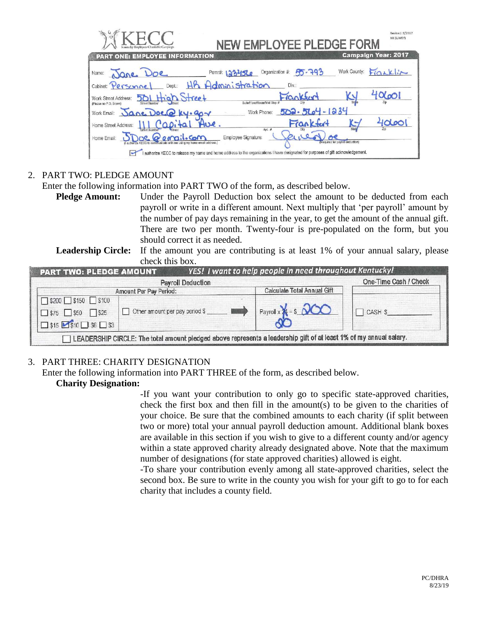| LOYEE PLEDGE FORM<br>Kentucky Employees Charitable Campaign                                                                       | Revised: 9/2017<br>NK (UWKY)    |
|-----------------------------------------------------------------------------------------------------------------------------------|---------------------------------|
| <b>PART ONE: EMPLOYEE INFORMATION</b>                                                                                             | <b>Campaign Year: 2017</b>      |
| Organization # 65-793<br>Pernr#: 1234<br>Name:                                                                                    | Work County:<br>Franklin        |
| ministration<br>Div.:<br>Cabinet: Pe<br>Dept.:<br>renne                                                                           |                                 |
| $tree+$<br>Work Street Address:<br>Suite/Floor/Room/Mail Stop #<br><b>Street Number</b><br>(Please no P.O. Boxes)                 | 4060'<br>State                  |
| 502.<br>Work Phone:<br>$U \cdot Q_0 \sim$<br>Work Email:                                                                          | $-1234$                         |
| Frankfut<br>HUR.<br>Home Street Address:<br>Apt. #<br>Street Number<br>Street                                                     | 4060<br>$\rightarrow$<br>State  |
| Employee Signature:<br>Home Email:<br>Com<br>I authorize KECC to communicate with me using my home email address.)                | Required for payroll deduction) |
| I authorize KECC to release my name and home address to the organizations I have designated for purposes of gift acknowledgement. |                                 |

# 2. PART TWO: PLEDGE AMOUNT

Enter the following information into PART TWO of the form, as described below.

**Pledge Amount:** Under the Payroll Deduction box select the amount to be deducted from each payroll or write in a different amount. Next multiply that 'per payroll' amount by the number of pay days remaining in the year, to get the amount of the annual gift. There are two per month. Twenty-four is pre-populated on the form, but you should correct it as needed.

#### **Leadership Circle:** If the amount you are contributing is at least 1% of your annual salary, please check this box.

|                                                                                                                                | <b>Payroll Deduction</b>       |                                  | YES! I want to help people in need throughout Kentucky!<br>One-Time Cash / Check |
|--------------------------------------------------------------------------------------------------------------------------------|--------------------------------|----------------------------------|----------------------------------------------------------------------------------|
| Calculate Total Annual Gift<br>Amount Per Pay Period:                                                                          |                                |                                  |                                                                                  |
| $\Box$ \$200 $\Box$ \$150 $\Box$ \$100<br>$\Box$ \$75 $\Box$ \$50 $\Box$ \$25<br>$\Box$ \$15 $\Box$ \$10 $\Box$ \$6 $\Box$ \$3 | Other amount per pay period \$ | Payroll x $\frac{1}{2}$ = \$ 200 | $\Box$ CASH \$                                                                   |

### 3. PART THREE: CHARITY DESIGNATION

Enter the following information into PART THREE of the form, as described below.

#### **Charity Designation:**

-If you want your contribution to only go to specific state-approved charities, check the first box and then fill in the amount(s) to be given to the charities of your choice. Be sure that the combined amounts to each charity (if split between two or more) total your annual payroll deduction amount. Additional blank boxes are available in this section if you wish to give to a different county and/or agency within a state approved charity already designated above. Note that the maximum number of designations (for state approved charities) allowed is eight.

-To share your contribution evenly among all state-approved charities, select the second box. Be sure to write in the county you wish for your gift to go to for each charity that includes a county field.